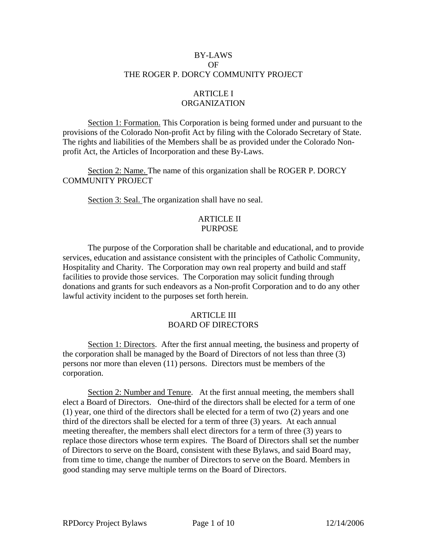## BY-LAWS OF THE ROGER P. DORCY COMMUNITY PROJECT

# ARTICLE I ORGANIZATION

Section 1: Formation. This Corporation is being formed under and pursuant to the provisions of the Colorado Non-profit Act by filing with the Colorado Secretary of State. The rights and liabilities of the Members shall be as provided under the Colorado Nonprofit Act, the Articles of Incorporation and these By-Laws.

 Section 2: Name. The name of this organization shall be ROGER P. DORCY COMMUNITY PROJECT

Section 3: Seal. The organization shall have no seal.

### ARTICLE II PURPOSE

 The purpose of the Corporation shall be charitable and educational, and to provide services, education and assistance consistent with the principles of Catholic Community, Hospitality and Charity. The Corporation may own real property and build and staff facilities to provide those services. The Corporation may solicit funding through donations and grants for such endeavors as a Non-profit Corporation and to do any other lawful activity incident to the purposes set forth herein.

#### ARTICLE III BOARD OF DIRECTORS

 Section 1: Directors. After the first annual meeting, the business and property of the corporation shall be managed by the Board of Directors of not less than three (3) persons nor more than eleven (11) persons. Directors must be members of the corporation.

 Section 2: Number and Tenure. At the first annual meeting, the members shall elect a Board of Directors. One-third of the directors shall be elected for a term of one (1) year, one third of the directors shall be elected for a term of two (2) years and one third of the directors shall be elected for a term of three (3) years. At each annual meeting thereafter, the members shall elect directors for a term of three (3) years to replace those directors whose term expires. The Board of Directors shall set the number of Directors to serve on the Board, consistent with these Bylaws, and said Board may, from time to time, change the number of Directors to serve on the Board. Members in good standing may serve multiple terms on the Board of Directors.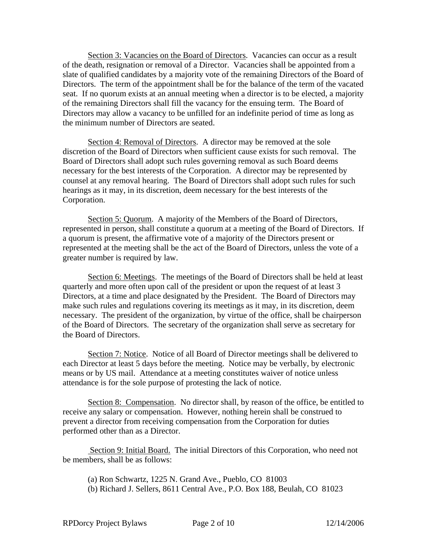Section 3: Vacancies on the Board of Directors. Vacancies can occur as a result of the death, resignation or removal of a Director. Vacancies shall be appointed from a slate of qualified candidates by a majority vote of the remaining Directors of the Board of Directors. The term of the appointment shall be for the balance of the term of the vacated seat. If no quorum exists at an annual meeting when a director is to be elected, a majority of the remaining Directors shall fill the vacancy for the ensuing term. The Board of Directors may allow a vacancy to be unfilled for an indefinite period of time as long as the minimum number of Directors are seated.

 Section 4: Removal of Directors. A director may be removed at the sole discretion of the Board of Directors when sufficient cause exists for such removal. The Board of Directors shall adopt such rules governing removal as such Board deems necessary for the best interests of the Corporation. A director may be represented by counsel at any removal hearing. The Board of Directors shall adopt such rules for such hearings as it may, in its discretion, deem necessary for the best interests of the Corporation.

 Section 5: Quorum. A majority of the Members of the Board of Directors, represented in person, shall constitute a quorum at a meeting of the Board of Directors. If a quorum is present, the affirmative vote of a majority of the Directors present or represented at the meeting shall be the act of the Board of Directors, unless the vote of a greater number is required by law.

 Section 6: Meetings. The meetings of the Board of Directors shall be held at least quarterly and more often upon call of the president or upon the request of at least 3 Directors, at a time and place designated by the President. The Board of Directors may make such rules and regulations covering its meetings as it may, in its discretion, deem necessary. The president of the organization, by virtue of the office, shall be chairperson of the Board of Directors. The secretary of the organization shall serve as secretary for the Board of Directors.

 Section 7: Notice. Notice of all Board of Director meetings shall be delivered to each Director at least 5 days before the meeting. Notice may be verbally, by electronic means or by US mail. Attendance at a meeting constitutes waiver of notice unless attendance is for the sole purpose of protesting the lack of notice.

Section 8: Compensation. No director shall, by reason of the office, be entitled to receive any salary or compensation. However, nothing herein shall be construed to prevent a director from receiving compensation from the Corporation for duties performed other than as a Director.

 Section 9: Initial Board. The initial Directors of this Corporation, who need not be members, shall be as follows:

 (a) Ron Schwartz, 1225 N. Grand Ave., Pueblo, CO 81003 (b) Richard J. Sellers, 8611 Central Ave., P.O. Box 188, Beulah, CO 81023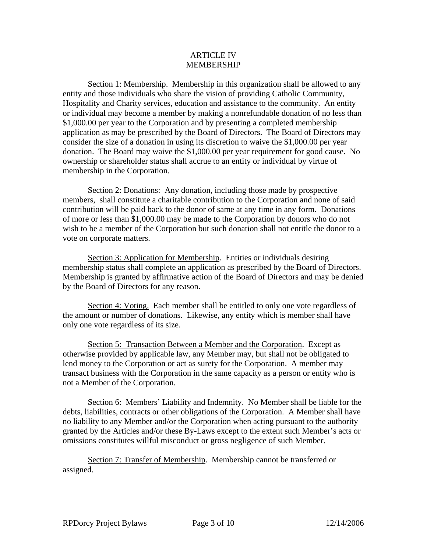#### ARTICLE IV MEMBERSHIP

Section 1: Membership. Membership in this organization shall be allowed to any entity and those individuals who share the vision of providing Catholic Community, Hospitality and Charity services, education and assistance to the community. An entity or individual may become a member by making a nonrefundable donation of no less than \$1,000.00 per year to the Corporation and by presenting a completed membership application as may be prescribed by the Board of Directors. The Board of Directors may consider the size of a donation in using its discretion to waive the \$1,000.00 per year donation. The Board may waive the \$1,000.00 per year requirement for good cause. No ownership or shareholder status shall accrue to an entity or individual by virtue of membership in the Corporation.

 Section 2: Donations: Any donation, including those made by prospective members, shall constitute a charitable contribution to the Corporation and none of said contribution will be paid back to the donor of same at any time in any form. Donations of more or less than \$1,000.00 may be made to the Corporation by donors who do not wish to be a member of the Corporation but such donation shall not entitle the donor to a vote on corporate matters.

Section 3: Application for Membership. Entities or individuals desiring membership status shall complete an application as prescribed by the Board of Directors. Membership is granted by affirmative action of the Board of Directors and may be denied by the Board of Directors for any reason.

Section 4: Voting. Each member shall be entitled to only one vote regardless of the amount or number of donations. Likewise, any entity which is member shall have only one vote regardless of its size.

 Section 5: Transaction Between a Member and the Corporation. Except as otherwise provided by applicable law, any Member may, but shall not be obligated to lend money to the Corporation or act as surety for the Corporation. A member may transact business with the Corporation in the same capacity as a person or entity who is not a Member of the Corporation.

 Section 6: Members' Liability and Indemnity. No Member shall be liable for the debts, liabilities, contracts or other obligations of the Corporation. A Member shall have no liability to any Member and/or the Corporation when acting pursuant to the authority granted by the Articles and/or these By-Laws except to the extent such Member's acts or omissions constitutes willful misconduct or gross negligence of such Member.

 Section 7: Transfer of Membership. Membership cannot be transferred or assigned.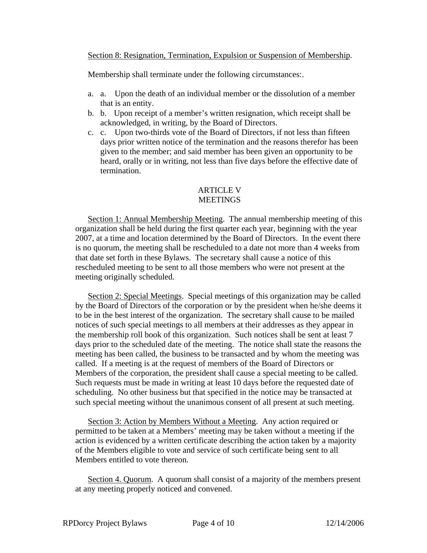### Section 8: Resignation, Termination, Expulsion or Suspension of Membership.

Membership shall terminate under the following circumstances:.

- a. a. Upon the death of an individual member or the dissolution of a member that is an entity.
- b. b. Upon receipt of a member's written resignation, which receipt shall be acknowledged, in writing, by the Board of Directors.
- c. c. Upon two-thirds vote of the Board of Directors, if not less than fifteen days prior written notice of the termination and the reasons therefor has been given to the member; and said member has been given an opportunity to be heard, orally or in writing, not less than five days before the effective date of termination.

#### **ARTICLE V MEETINGS**

 Section 1: Annual Membership Meeting. The annual membership meeting of this organization shall be held during the first quarter each year, beginning with the year 2007, at a time and location determined by the Board of Directors. In the event there is no quorum, the meeting shall be rescheduled to a date not more than 4 weeks from that date set forth in these Bylaws. The secretary shall cause a notice of this rescheduled meeting to be sent to all those members who were not present at the meeting originally scheduled.

 Section 2: Special Meetings. Special meetings of this organization may be called by the Board of Directors of the corporation or by the president when he/she deems it to be in the best interest of the organization. The secretary shall cause to be mailed notices of such special meetings to all members at their addresses as they appear in the membership roll book of this organization. Such notices shall be sent at least 7 days prior to the scheduled date of the meeting. The notice shall state the reasons the meeting has been called, the business to be transacted and by whom the meeting was called. If a meeting is at the request of members of the Board of Directors or Members of the corporation, the president shall cause a special meeting to be called. Such requests must be made in writing at least 10 days before the requested date of scheduling. No other business but that specified in the notice may be transacted at such special meeting without the unanimous consent of all present at such meeting.

 Section 3: Action by Members Without a Meeting. Any action required or permitted to be taken at a Members' meeting may be taken without a meeting if the action is evidenced by a written certificate describing the action taken by a majority of the Members eligible to vote and service of such certificate being sent to all Members entitled to vote thereon.

 Section 4. Quorum. A quorum shall consist of a majority of the members present at any meeting properly noticed and convened.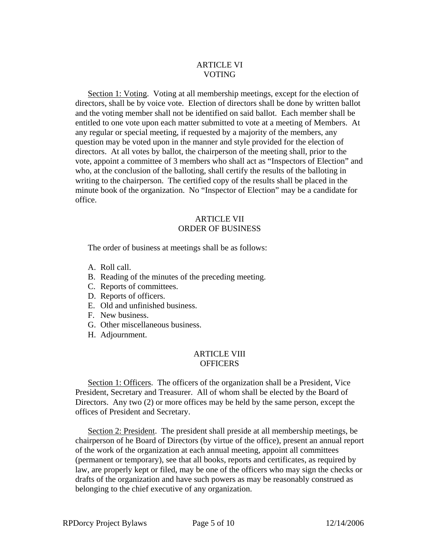## ARTICLE VI VOTING

 Section 1: Voting. Voting at all membership meetings, except for the election of directors, shall be by voice vote. Election of directors shall be done by written ballot and the voting member shall not be identified on said ballot. Each member shall be entitled to one vote upon each matter submitted to vote at a meeting of Members. At any regular or special meeting, if requested by a majority of the members, any question may be voted upon in the manner and style provided for the election of directors. At all votes by ballot, the chairperson of the meeting shall, prior to the vote, appoint a committee of 3 members who shall act as "Inspectors of Election" and who, at the conclusion of the balloting, shall certify the results of the balloting in writing to the chairperson. The certified copy of the results shall be placed in the minute book of the organization. No "Inspector of Election" may be a candidate for office.

## ARTICLE VII ORDER OF BUSINESS

The order of business at meetings shall be as follows:

- A. Roll call.
- B. Reading of the minutes of the preceding meeting.
- C. Reports of committees.
- D. Reports of officers.
- E. Old and unfinished business.
- F. New business.
- G. Other miscellaneous business.
- H. Adjournment.

## ARTICLE VIII **OFFICERS**

 Section 1: Officers. The officers of the organization shall be a President, Vice President, Secretary and Treasurer. All of whom shall be elected by the Board of Directors. Any two (2) or more offices may be held by the same person, except the offices of President and Secretary.

 Section 2: President. The president shall preside at all membership meetings, be chairperson of he Board of Directors (by virtue of the office), present an annual report of the work of the organization at each annual meeting, appoint all committees (permanent or temporary), see that all books, reports and certificates, as required by law, are properly kept or filed, may be one of the officers who may sign the checks or drafts of the organization and have such powers as may be reasonably construed as belonging to the chief executive of any organization.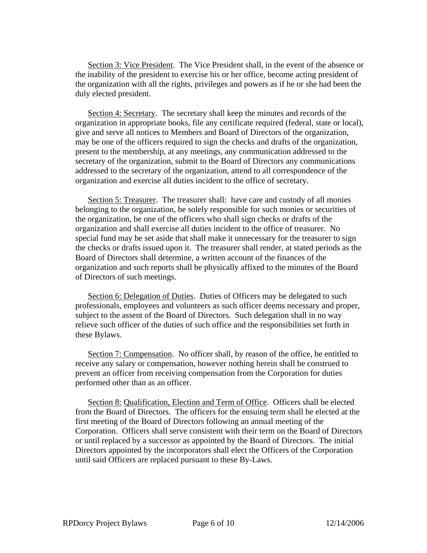Section 3: Vice President. The Vice President shall, in the event of the absence or the inability of the president to exercise his or her office, become acting president of the organization with all the rights, privileges and powers as if he or she had been the duly elected president.

 Section 4: Secretary. The secretary shall keep the minutes and records of the organization in appropriate books, file any certificate required (federal, state or local), give and serve all notices to Members and Board of Directors of the organization, may be one of the officers required to sign the checks and drafts of the organization, present to the membership, at any meetings, any communication addressed to the secretary of the organization, submit to the Board of Directors any communications addressed to the secretary of the organization, attend to all correspondence of the organization and exercise all duties incident to the office of secretary.

 Section 5: Treasurer. The treasurer shall: have care and custody of all monies belonging to the organization, be solely responsible for such monies or securities of the organization, be one of the officers who shall sign checks or drafts of the organization and shall exercise all duties incident to the office of treasurer. No special fund may be set aside that shall make it unnecessary for the treasurer to sign the checks or drafts issued upon it. The treasurer shall render, at stated periods as the Board of Directors shall determine, a written account of the finances of the organization and such reports shall be physically affixed to the minutes of the Board of Directors of such meetings.

 Section 6: Delegation of Duties. Duties of Officers may be delegated to such professionals, employees and volunteers as such officer deems necessary and proper, subject to the assent of the Board of Directors. Such delegation shall in no way relieve such officer of the duties of such office and the responsibilities set forth in these Bylaws.

 Section 7: Compensation. No officer shall, by reason of the office, be entitled to receive any salary or compensation, however nothing herein shall be construed to prevent an officer from receiving compensation from the Corporation for duties performed other than as an officer.

 Section 8: Qualification, Election and Term of Office. Officers shall be elected from the Board of Directors. The officers for the ensuing term shall be elected at the first meeting of the Board of Directors following an annual meeting of the Corporation. Officers shall serve consistent with their term on the Board of Directors or until replaced by a successor as appointed by the Board of Directors. The initial Directors appointed by the incorporators shall elect the Officers of the Corporation until said Officers are replaced pursuant to these By-Laws.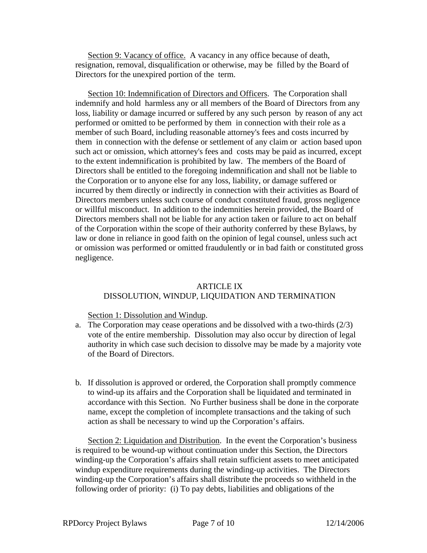Section 9: Vacancy of office. A vacancy in any office because of death, resignation, removal, disqualification or otherwise, may be filled by the Board of Directors for the unexpired portion of the term.

 Section 10: Indemnification of Directors and Officers. The Corporation shall indemnify and hold harmless any or all members of the Board of Directors from any loss, liability or damage incurred or suffered by any such person by reason of any act performed or omitted to be performed by them in connection with their role as a member of such Board, including reasonable attorney's fees and costs incurred by them in connection with the defense or settlement of any claim or action based upon such act or omission, which attorney's fees and costs may be paid as incurred, except to the extent indemnification is prohibited by law. The members of the Board of Directors shall be entitled to the foregoing indemnification and shall not be liable to the Corporation or to anyone else for any loss, liability, or damage suffered or incurred by them directly or indirectly in connection with their activities as Board of Directors members unless such course of conduct constituted fraud, gross negligence or willful misconduct. In addition to the indemnities herein provided, the Board of Directors members shall not be liable for any action taken or failure to act on behalf of the Corporation within the scope of their authority conferred by these Bylaws, by law or done in reliance in good faith on the opinion of legal counsel, unless such act or omission was performed or omitted fraudulently or in bad faith or constituted gross negligence.

#### ARTICLE IX

#### DISSOLUTION, WINDUP, LIQUIDATION AND TERMINATION

Section 1: Dissolution and Windup.

- a. The Corporation may cease operations and be dissolved with a two-thirds (2/3) vote of the entire membership. Dissolution may also occur by direction of legal authority in which case such decision to dissolve may be made by a majority vote of the Board of Directors.
- b. If dissolution is approved or ordered, the Corporation shall promptly commence to wind-up its affairs and the Corporation shall be liquidated and terminated in accordance with this Section. No Further business shall be done in the corporate name, except the completion of incomplete transactions and the taking of such action as shall be necessary to wind up the Corporation's affairs.

 Section 2: Liquidation and Distribution. In the event the Corporation's business is required to be wound-up without continuation under this Section, the Directors winding-up the Corporation's affairs shall retain sufficient assets to meet anticipated windup expenditure requirements during the winding-up activities. The Directors winding-up the Corporation's affairs shall distribute the proceeds so withheld in the following order of priority: (i) To pay debts, liabilities and obligations of the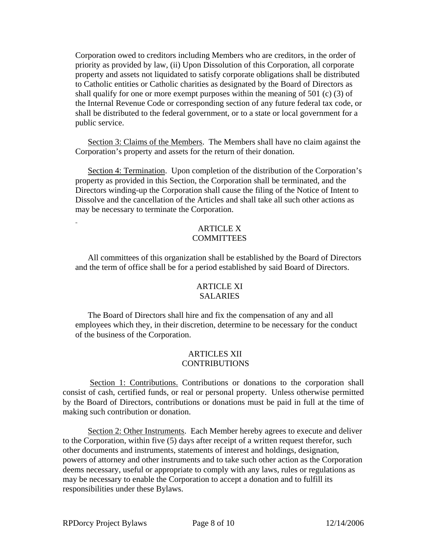Corporation owed to creditors including Members who are creditors, in the order of priority as provided by law, (ii) Upon Dissolution of this Corporation, all corporate property and assets not liquidated to satisfy corporate obligations shall be distributed to Catholic entities or Catholic charities as designated by the Board of Directors as shall qualify for one or more exempt purposes within the meaning of 501 (c) (3) of the Internal Revenue Code or corresponding section of any future federal tax code, or shall be distributed to the federal government, or to a state or local government for a public service.

 Section 3: Claims of the Members. The Members shall have no claim against the Corporation's property and assets for the return of their donation.

Section 4: Termination. Upon completion of the distribution of the Corporation's property as provided in this Section, the Corporation shall be terminated, and the Directors winding-up the Corporation shall cause the filing of the Notice of Intent to Dissolve and the cancellation of the Articles and shall take all such other actions as may be necessary to terminate the Corporation.

## ARTICLE X **COMMITTEES**

 All committees of this organization shall be established by the Board of Directors and the term of office shall be for a period established by said Board of Directors.

## **ARTICLE XI** SALARIES

 The Board of Directors shall hire and fix the compensation of any and all employees which they, in their discretion, determine to be necessary for the conduct of the business of the Corporation.

#### ARTICLES XII CONTRIBUTIONS

 Section 1: Contributions. Contributions or donations to the corporation shall consist of cash, certified funds, or real or personal property. Unless otherwise permitted by the Board of Directors, contributions or donations must be paid in full at the time of making such contribution or donation.

 Section 2: Other Instruments. Each Member hereby agrees to execute and deliver to the Corporation, within five (5) days after receipt of a written request therefor, such other documents and instruments, statements of interest and holdings, designation, powers of attorney and other instruments and to take such other action as the Corporation deems necessary, useful or appropriate to comply with any laws, rules or regulations as may be necessary to enable the Corporation to accept a donation and to fulfill its responsibilities under these Bylaws.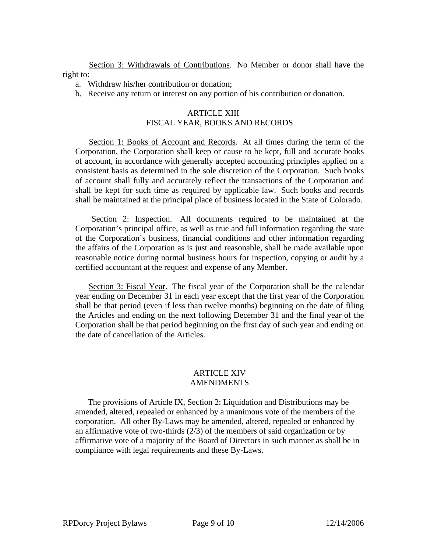Section 3: Withdrawals of Contributions. No Member or donor shall have the right to:

- a. Withdraw his/her contribution or donation;
- b. Receive any return or interest on any portion of his contribution or donation.

# ARTICLE XIII FISCAL YEAR, BOOKS AND RECORDS

 Section 1: Books of Account and Records. At all times during the term of the Corporation, the Corporation shall keep or cause to be kept, full and accurate books of account, in accordance with generally accepted accounting principles applied on a consistent basis as determined in the sole discretion of the Corporation. Such books of account shall fully and accurately reflect the transactions of the Corporation and shall be kept for such time as required by applicable law. Such books and records shall be maintained at the principal place of business located in the State of Colorado.

 Section 2: Inspection. All documents required to be maintained at the Corporation's principal office, as well as true and full information regarding the state of the Corporation's business, financial conditions and other information regarding the affairs of the Corporation as is just and reasonable, shall be made available upon reasonable notice during normal business hours for inspection, copying or audit by a certified accountant at the request and expense of any Member.

 Section 3: Fiscal Year. The fiscal year of the Corporation shall be the calendar year ending on December 31 in each year except that the first year of the Corporation shall be that period (even if less than twelve months) beginning on the date of filing the Articles and ending on the next following December 31 and the final year of the Corporation shall be that period beginning on the first day of such year and ending on the date of cancellation of the Articles.

## ARTICLE XIV AMENDMENTS

 The provisions of Article IX, Section 2: Liquidation and Distributions may be amended, altered, repealed or enhanced by a unanimous vote of the members of the corporation. All other By-Laws may be amended, altered, repealed or enhanced by an affirmative vote of two-thirds (2/3) of the members of said organization or by affirmative vote of a majority of the Board of Directors in such manner as shall be in compliance with legal requirements and these By-Laws.